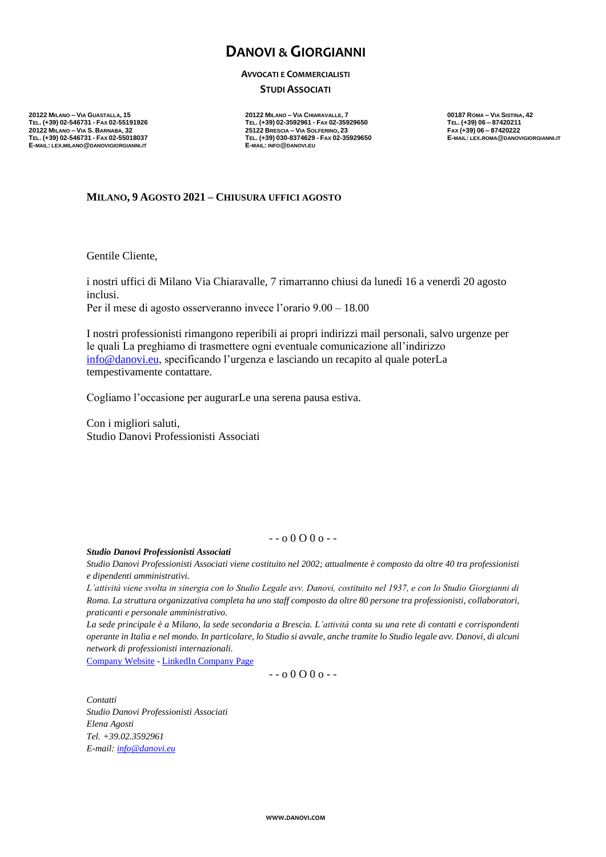# **DANOVI & GIORGIANNI**

#### **AVVOCATI E COMMERCIALISTI**

**STUDI ASSOCIATI** 

**20122 MILANO – VIA GUASTALLA, 15 20122 MILANO – VIA CHIARAVALLE, 7 00187 ROMA – VIA SISTINA, 42 E-MAIL: LEX.MILANO@DANOVIGIORGIANNI.IT E-MAIL: INFO@DANOVI.EU**

**TEL. (+39) 02-546731 - FAX 02-55191926 TEL. (+39) 02-3592961 - FAX 02-35929650 TEL. (+39) 06 – 87420211 20122 MILANO – VIA S. BARNABA, 32 25122 BRESCIA – VIA SOLFERINO, 23 FAX (+39) 06 – 87420222** TEL. (+39) 030-8374629 - FAX 02-35929650<br>E-MAIL: INFO@DANOVI.EU

## **MILANO, 9 AGOSTO 2021 – CHIUSURA UFFICI AGOSTO**

Gentile Cliente,

i nostri uffici di Milano Via Chiaravalle, 7 rimarranno chiusi da lunedì 16 a venerdì 20 agosto inclusi. Per il mese di agosto osserveranno invece l'orario 9.00 – 18.00

I nostri professionisti rimangono reperibili ai propri indirizzi mail personali, salvo urgenze per le quali La preghiamo di trasmettere ogni eventuale comunicazione all'indirizzo [info@danovi.eu,](mailto:info@danovi.eu) specificando l'urgenza e lasciando un recapito al quale poterLa tempestivamente contattare.

Cogliamo l'occasione per augurarLe una serena pausa estiva.

Con i migliori saluti, Studio Danovi Professionisti Associati

### $-0.0000 -$

#### *Studio Danovi Professionisti Associati*

*Studio Danovi Professionisti Associati viene costituito nel 2002; attualmente è composto da oltre 40 tra professionisti e dipendenti amministrativi.* 

*L'attività viene svolta in sinergia con lo Studio Legale avv. Danovi, costituito nel 1937, e con lo Studio Giorgianni di Roma. La struttura organizzativa completa ha uno staff composto da oltre 80 persone tra professionisti, collaboratori, praticanti e personale amministrativo.* 

*La sede principale è a Milano, la sede secondaria a Brescia. L'attività conta su una rete di contatti e corrispondenti operante in Italia e nel mondo. In particolare, lo Studio si avvale, anche tramite lo Studio legale avv. Danovi, di alcuni network di professionisti internazionali.* 

[Company Website](http://www.danovi.com/) - [LinkedIn Company Page](https://www.linkedin.com/company/studio-danovi)

 $-0.0000 -$ 

*Contatti Studio Danovi Professionisti Associati Elena Agosti Tel. +39.02.3592961 E-mail: [info@danovi.eu](mailto:info@danovi.eu)*